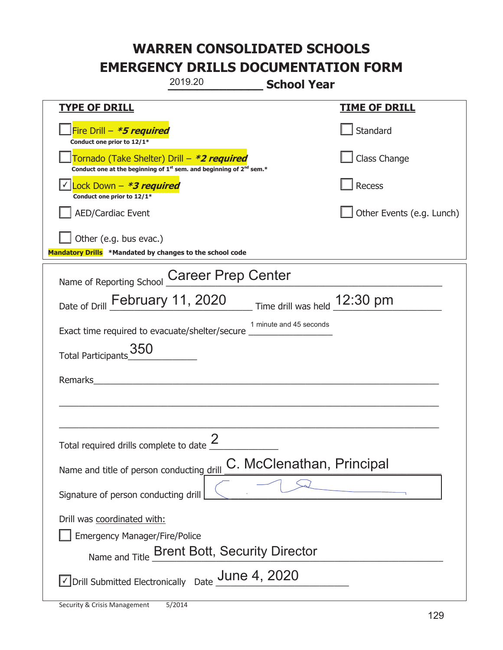|                                                                                    | 2019.20                                                                       | <b>School Year</b>           |                           |
|------------------------------------------------------------------------------------|-------------------------------------------------------------------------------|------------------------------|---------------------------|
| <u>TYPE OF DRILL</u>                                                               |                                                                               |                              | <b>TIME OF DRILL</b>      |
| Fire Drill - *5 required<br>Conduct one prior to 12/1*                             |                                                                               |                              | Standard                  |
| Tornado (Take Shelter) Drill – *2 required                                         | Conduct one at the beginning of $1^{st}$ sem. and beginning of $2^{nd}$ sem.* |                              | Class Change              |
| Lock Down - <b>*3 required</b><br>Conduct one prior to 12/1*                       |                                                                               |                              | <b>Recess</b>             |
| <b>AED/Cardiac Event</b>                                                           |                                                                               |                              | Other Events (e.g. Lunch) |
| Other (e.g. bus evac.)<br>Mandatory Drills *Mandated by changes to the school code |                                                                               |                              |                           |
| Name of Reporting School                                                           | <b>Career Prep Center</b>                                                     |                              |                           |
| Date of Drill February 11, 2020                                                    |                                                                               | Time drill was held 12:30 pm |                           |
| Exact time required to evacuate/shelter/secure                                     |                                                                               | 1 minute and 45 seconds      |                           |
| 350<br><b>Total Participants</b>                                                   |                                                                               |                              |                           |
| Remarks                                                                            |                                                                               |                              |                           |
|                                                                                    |                                                                               |                              |                           |
|                                                                                    |                                                                               |                              |                           |
| Total required drills complete to date $\leq$                                      | 2                                                                             |                              |                           |
| Name and title of person conducting drill                                          |                                                                               | C. McClenathan, Principal    |                           |
| Signature of person conducting drill                                               |                                                                               |                              |                           |
| Drill was coordinated with:<br><b>Emergency Manager/Fire/Police</b>                | Name and Title Brent Bott, Security Director                                  |                              |                           |
| $\vee$ Drill Submitted Electronically Date Unne 4, 2020                            |                                                                               |                              |                           |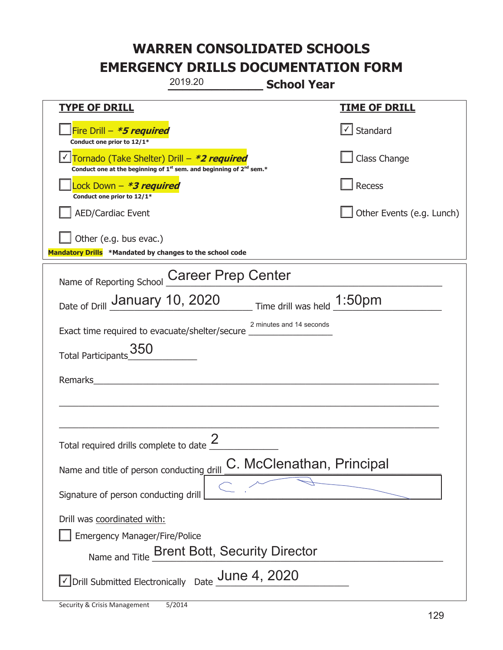|                                                                                    | 2019.20<br><b>School Year</b>                                                               |                             |
|------------------------------------------------------------------------------------|---------------------------------------------------------------------------------------------|-----------------------------|
| <u>TYPE OF DRILL</u>                                                               |                                                                                             | <u>TIME OF DRILL</u>        |
| Fire Drill - *5 required<br>Conduct one prior to 12/1*                             |                                                                                             | Standard                    |
| Tornado (Take Shelter) Drill – *2 required                                         | Conduct one at the beginning of 1 <sup>st</sup> sem. and beginning of 2 <sup>nd</sup> sem.* | Class Change                |
| Lock Down - *3 required<br>Conduct one prior to 12/1*                              |                                                                                             | Recess                      |
| <b>AED/Cardiac Event</b>                                                           |                                                                                             | Other Events (e.g. Lunch)   |
| Other (e.g. bus evac.)<br>Mandatory Drills *Mandated by changes to the school code |                                                                                             |                             |
| Name of Reporting School                                                           | <b>Career Prep Center</b>                                                                   |                             |
| Date of Drill January 10, 2020                                                     |                                                                                             | Time drill was held _1:50pm |
| Exact time required to evacuate/shelter/secure                                     | 2 minutes and 14 seconds                                                                    |                             |
| 350<br><b>Total Participants</b>                                                   |                                                                                             |                             |
| Remarks                                                                            |                                                                                             |                             |
|                                                                                    |                                                                                             |                             |
|                                                                                    | 2                                                                                           |                             |
| Total required drills complete to date $\leq$                                      |                                                                                             |                             |
| Name and title of person conducting drill                                          | C. McClenathan, Principal                                                                   |                             |
| Signature of person conducting drill                                               |                                                                                             |                             |
| Drill was coordinated with:<br><b>Emergency Manager/Fire/Police</b>                | Name and Title Brent Bott, Security Director                                                |                             |
|                                                                                    | $\angle$ Drill Submitted Electronically Date $\frac{\text{June 4, 2020}}{}$                 |                             |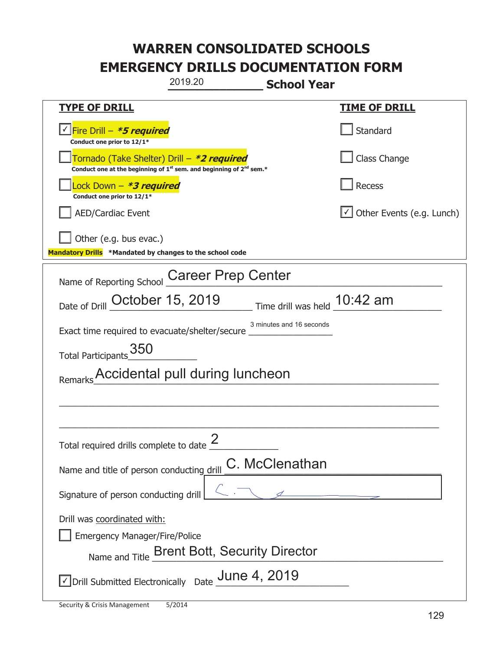|                                                                                    | 2019.20                                                                                     | <b>School Year</b>             |                           |  |
|------------------------------------------------------------------------------------|---------------------------------------------------------------------------------------------|--------------------------------|---------------------------|--|
| <u>TYPE OF DRILL</u>                                                               |                                                                                             |                                | <u>TIME OF DRILL</u>      |  |
| √ Fire Drill – <i>*<b>5 required</b></i><br>Conduct one prior to 12/1*             |                                                                                             |                                | Standard                  |  |
| Tornado (Take Shelter) Drill – *2 required                                         | Conduct one at the beginning of 1 <sup>st</sup> sem. and beginning of 2 <sup>nd</sup> sem.* |                                | Class Change              |  |
| Lock Down – <b>*<i>3 required</i></b><br>Conduct one prior to 12/1*                |                                                                                             |                                | Recess                    |  |
| <b>AED/Cardiac Event</b>                                                           |                                                                                             |                                | Other Events (e.g. Lunch) |  |
| Other (e.g. bus evac.)<br>Mandatory Drills *Mandated by changes to the school code |                                                                                             |                                |                           |  |
| Name of Reporting School                                                           | <b>Career Prep Center</b>                                                                   |                                |                           |  |
| Date of Drill October 15, 2019                                                     |                                                                                             | Time drill was held $10:42$ am |                           |  |
| Exact time required to evacuate/shelter/secure                                     |                                                                                             | 3 minutes and 16 seconds       |                           |  |
| 350<br><b>Total Participants</b>                                                   |                                                                                             |                                |                           |  |
|                                                                                    | Accidental pull during luncheon                                                             |                                |                           |  |
|                                                                                    |                                                                                             |                                |                           |  |
|                                                                                    |                                                                                             |                                |                           |  |
| Total required drills complete to date $\frac{2}{3}$                               |                                                                                             |                                |                           |  |
| Name and title of person conducting drill                                          |                                                                                             | C. McClenathan                 |                           |  |
| Signature of person conducting drill                                               |                                                                                             |                                | $\overline{\phantom{a}}$  |  |
| Drill was coordinated with:<br><b>Emergency Manager/Fire/Police</b>                | Name and Title Brent Bott, Security Director                                                |                                |                           |  |
| $\vee$ Drill Submitted Electronically Date $\frac{\text{June 4, 2019}}{}$          |                                                                                             |                                |                           |  |

I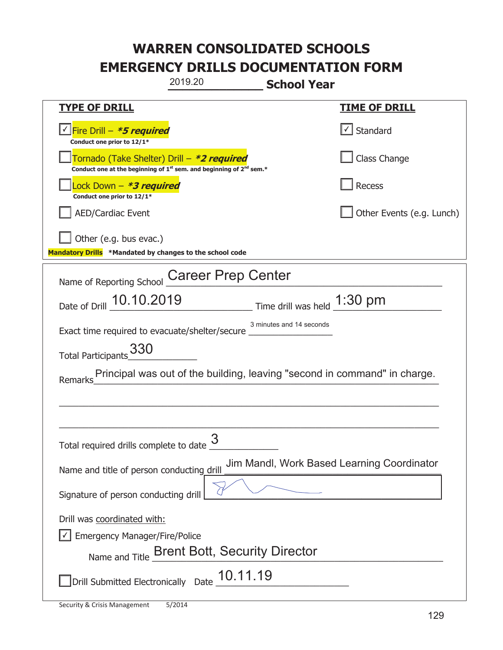|                                                                                    | 2019.20                                                                                     | <b>School Year</b>       |                                                                           |
|------------------------------------------------------------------------------------|---------------------------------------------------------------------------------------------|--------------------------|---------------------------------------------------------------------------|
| <b>TYPE OF DRILL</b>                                                               |                                                                                             |                          | <u>TIME OF DRILL</u>                                                      |
| √ Fire Drill – <i>*<b>5 required</b></i><br>Conduct one prior to 12/1*             |                                                                                             |                          | √ Standard                                                                |
| Tornado (Take Shelter) Drill – *2 required                                         | Conduct one at the beginning of 1 <sup>st</sup> sem. and beginning of 2 <sup>nd</sup> sem.* |                          | Class Change                                                              |
| ock Down – <b>*3 required</b><br>Conduct one prior to 12/1*                        |                                                                                             |                          | Recess                                                                    |
| <b>AED/Cardiac Event</b>                                                           |                                                                                             |                          | Other Events (e.g. Lunch)                                                 |
| Other (e.g. bus evac.)<br>Mandatory Drills *Mandated by changes to the school code |                                                                                             |                          |                                                                           |
| Name of Reporting School                                                           | <b>Career Prep Center</b>                                                                   |                          |                                                                           |
| Date of Drill 10.10.2019                                                           | $\frac{1:30 \text{ pm}}{}$ Time drill was held $\frac{1:30 \text{ pm}}{}$                   |                          |                                                                           |
| Exact time required to evacuate/shelter/secure                                     |                                                                                             | 3 minutes and 14 seconds |                                                                           |
| 330<br>Total Participants                                                          |                                                                                             |                          |                                                                           |
| Remarks                                                                            |                                                                                             |                          | Principal was out of the building, leaving "second in command" in charge. |
|                                                                                    |                                                                                             |                          |                                                                           |
|                                                                                    |                                                                                             |                          |                                                                           |
| Total required drills complete to date                                             | 3                                                                                           |                          |                                                                           |
| Name and title of person conducting drill                                          |                                                                                             |                          | Jim Mandl, Work Based Learning Coordinator                                |
| Signature of person conducting drill                                               |                                                                                             |                          |                                                                           |
| Drill was coordinated with:<br><b>Emergency Manager/Fire/Police</b>                | Name and Title Brent Bott, Security Director                                                |                          |                                                                           |
|                                                                                    | Drill Submitted Electronically Date $\underline{\hspace{0.15cm}} 10.11.19$                  |                          |                                                                           |

t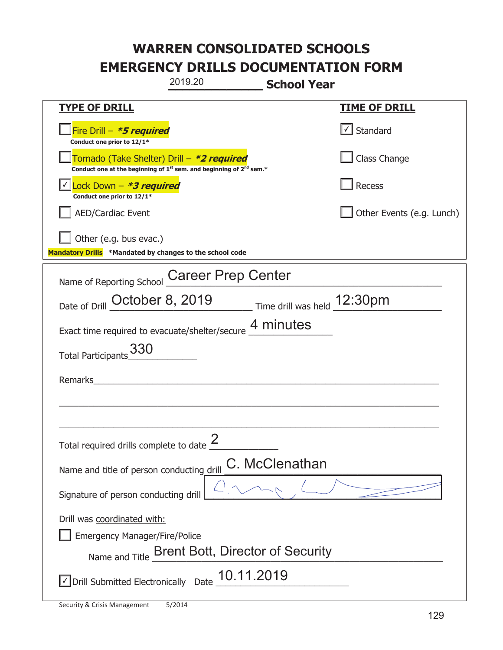|                                                                                    | 2019.20                                                                                     | <b>School Year</b>          |                           |
|------------------------------------------------------------------------------------|---------------------------------------------------------------------------------------------|-----------------------------|---------------------------|
| <b>TYPE OF DRILL</b>                                                               |                                                                                             |                             | <b>TIME OF DRILL</b>      |
| Fire Drill - <b>*5 required</b><br>Conduct one prior to 12/1*                      |                                                                                             |                             | $\cup$ Standard           |
| Tornado (Take Shelter) Drill – *2 required                                         | Conduct one at the beginning of 1 <sup>st</sup> sem. and beginning of 2 <sup>nd</sup> sem.* |                             | Class Change              |
| Lock Down - <b>*3 required</b><br>Conduct one prior to 12/1*                       |                                                                                             |                             | Recess                    |
| <b>AED/Cardiac Event</b>                                                           |                                                                                             |                             | Other Events (e.g. Lunch) |
| Other (e.g. bus evac.)<br>Mandatory Drills *Mandated by changes to the school code |                                                                                             |                             |                           |
| Name of Reporting School                                                           | <b>Career Prep Center</b>                                                                   |                             |                           |
| Date of Drill October 8, 2019                                                      |                                                                                             | Time drill was held 12:30pm |                           |
| Exact time required to evacuate/shelter/secure 4 minutes                           |                                                                                             |                             |                           |
| 330<br><b>Total Participants</b>                                                   |                                                                                             |                             |                           |
| Remarks                                                                            |                                                                                             |                             |                           |
|                                                                                    |                                                                                             |                             |                           |
| Total required drills complete to date $\leq$                                      | 2                                                                                           |                             |                           |
| Name and title of person conducting drill                                          |                                                                                             | C. McClenathan              |                           |
| Signature of person conducting drill                                               |                                                                                             |                             |                           |
| Drill was coordinated with:<br><b>Emergency Manager/Fire/Police</b>                | Name and Title Brent Bott, Director of Security                                             |                             |                           |
| $\vee$ Drill Submitted Electronically Date $\underline{\hspace{1em}10.11.2019}$    |                                                                                             |                             |                           |

T